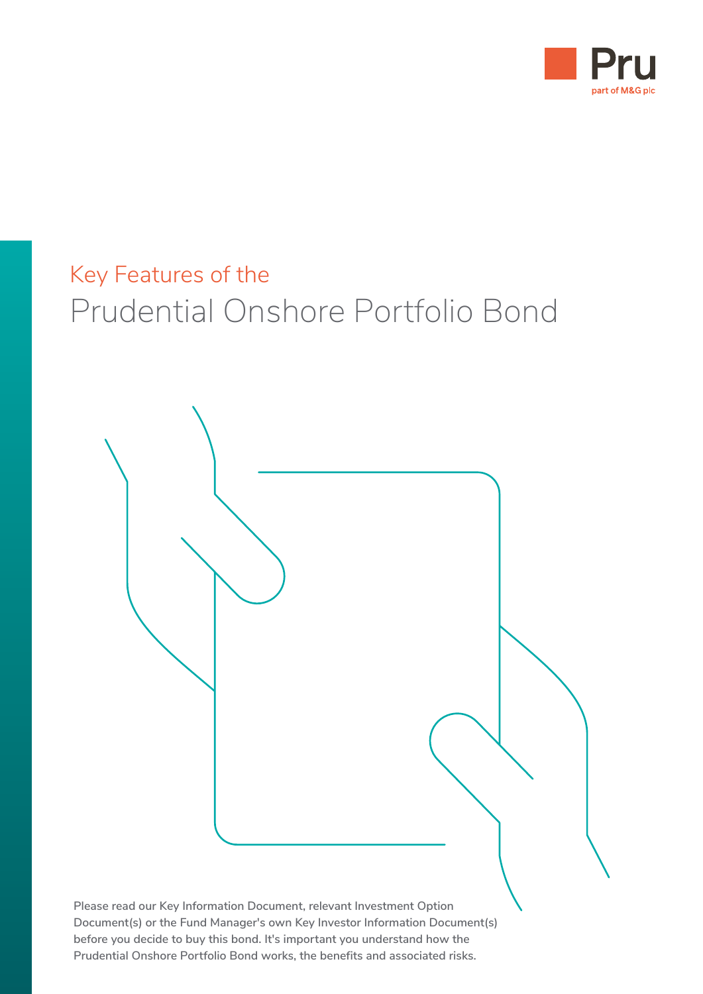

# Key Features of the Prudential Onshore Portfolio Bond

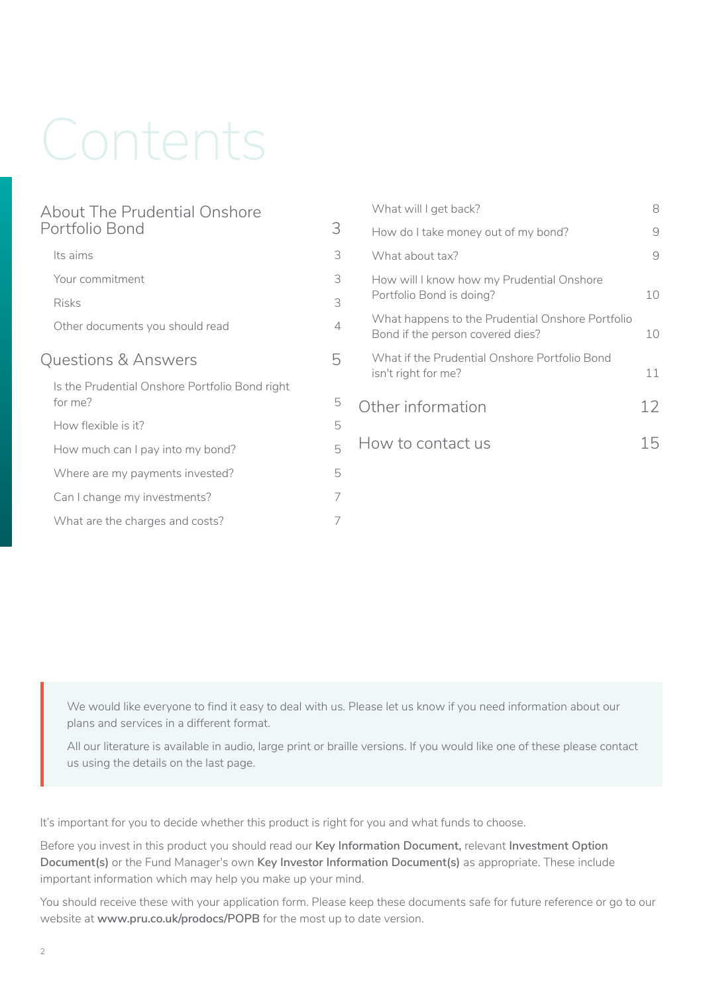# Contents

| About The Prudential Onshore                              |                |
|-----------------------------------------------------------|----------------|
| Portfolio Bond                                            | 3              |
| Its aims                                                  | 3              |
| Your commitment                                           | 3              |
| <b>Risks</b>                                              | 3              |
| Other documents you should read                           | $\overline{4}$ |
| Questions & Answers                                       | 5              |
| Is the Prudential Onshore Portfolio Bond right<br>for me? | 5              |
| How flexible is it?                                       | 5              |
| How much can I pay into my bond?                          | 5              |
| Where are my payments invested?                           | 5              |
| Can I change my investments?                              | 7              |
| What are the charges and costs?                           | 7              |
|                                                           |                |

| What will I get back?                                                                | 8  |
|--------------------------------------------------------------------------------------|----|
| How do I take money out of my bond?                                                  | 9  |
| What about tax?                                                                      | 9  |
| How will I know how my Prudential Onshore<br>Portfolio Bond is doing?                | 10 |
| What happens to the Prudential Onshore Portfolio<br>Bond if the person covered dies? | 10 |
| What if the Prudential Onshore Portfolio Bond<br>isn't right for me?                 | 11 |
| Other information                                                                    | 12 |
| How to contact us                                                                    | 15 |
|                                                                                      |    |

We would like everyone to find it easy to deal with us. Please let us know if you need information about our plans and services in a different format.

All our literature is available in audio, large print or braille versions. If you would like one of these please contact us using the details on the last page.

It's important for you to decide whether this product is right for you and what funds to choose.

Before you invest in this product you should read our **Key Information Document,** relevant **Investment Option Document(s)** or the Fund Manager's own **Key Investor Information Document(s)** as appropriate. These include important information which may help you make up your mind.

You should receive these with your application form. Please keep these documents safe for future reference or go to our website at **www.[pru.co.uk/prodocs/POPB](https://www.pru.co.uk/prodocs/POPB)** for the most up to date version.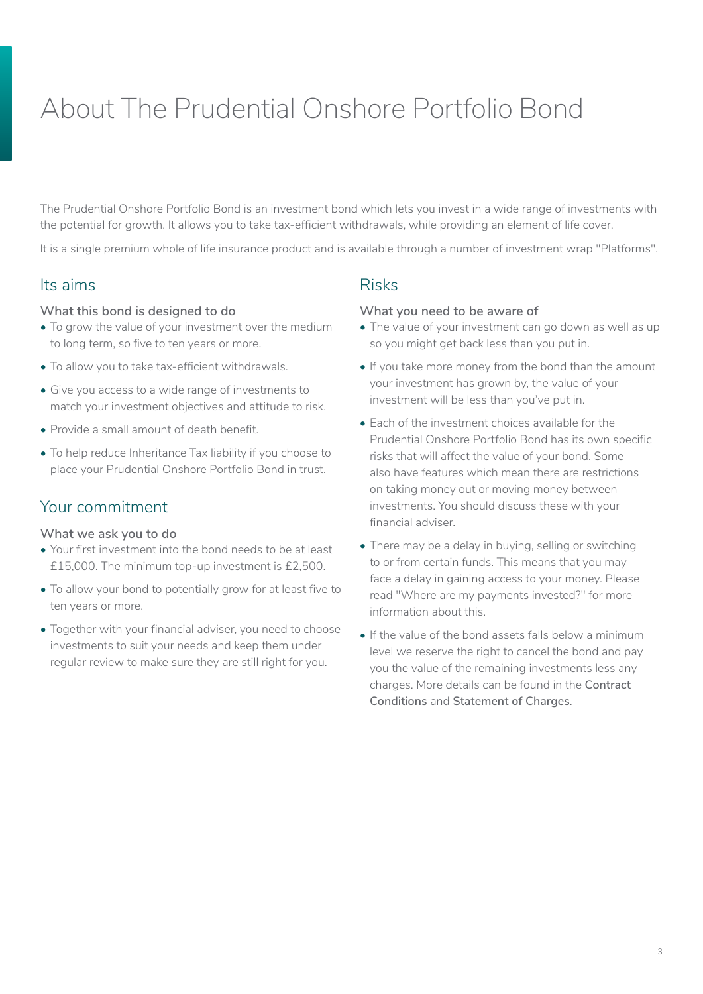# <span id="page-2-0"></span>About The Prudential Onshore Portfolio Bond

The Prudential Onshore Portfolio Bond is an investment bond which lets you invest in a wide range of investments with the potential for growth. It allows you to take tax-efficient withdrawals, while providing an element of life cover.

It is a single premium whole of life insurance product and is available through a number of investment wrap "Platforms".

# Its aims

#### **What this bond is designed to do**

- To grow the value of your investment over the medium to long term, so five to ten years or more.
- To allow you to take tax-efficient withdrawals.
- Give you access to a wide range of investments to match your investment objectives and attitude to risk.
- Provide a small amount of death benefit.
- To help reduce Inheritance Tax liability if you choose to place your Prudential Onshore Portfolio Bond in trust.

# Your commitment

#### **What we ask you to do**

- Your first investment into the bond needs to be at least £15,000. The minimum top-up investment is £2,500.
- To allow your bond to potentially grow for at least five to ten years or more.
- Together with your financial adviser, you need to choose investments to suit your needs and keep them under regular review to make sure they are still right for you.

# Risks

#### **What you need to be aware of**

- The value of your investment can go down as well as up so you might get back less than you put in.
- If you take more money from the bond than the amount your investment has grown by, the value of your investment will be less than you've put in.
- Each of the investment choices available for the Prudential Onshore Portfolio Bond has its own specific risks that will affect the value of your bond. Some also have features which mean there are restrictions on taking money out or moving money between investments. You should discuss these with your financial adviser.
- There may be a delay in buying, selling or switching to or from certain funds. This means that you may face a delay in gaining access to your money. Please read "Where are my payments invested?" for more information about this.
- If the value of the bond assets falls below a minimum level we reserve the right to cancel the bond and pay you the value of the remaining investments less any charges. More details can be found in the **Contract Conditions** and **Statement of Charges**.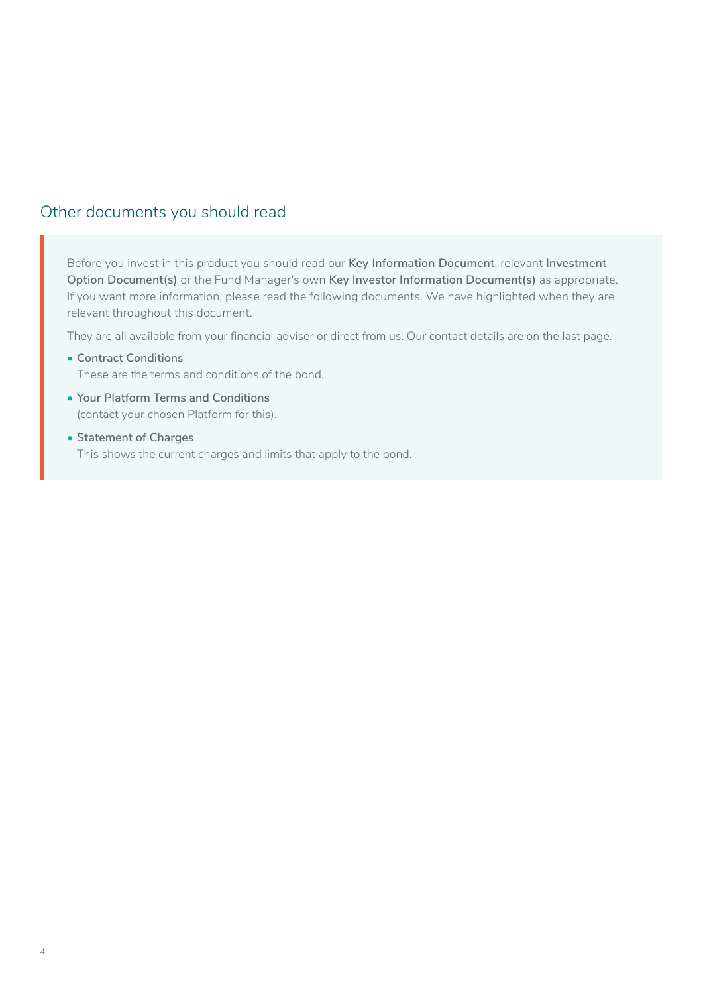## <span id="page-3-0"></span>Other documents you should read

Before you invest in this product you should read our **Key Information Document**, relevant **Investment Option Document(s)** or the Fund Manager's own **Key Investor Information Document(s)** as appropriate. If you want more information, please read the following documents. We have highlighted when they are relevant throughout this document.

They are all available from your financial adviser or direct from us. Our contact details are on the last page.

- **Contract Conditions**  These are the terms and conditions of the bond.
- **Your Platform Terms and Conditions** (contact your chosen Platform for this).
- **Statement of Charges** This shows the current charges and limits that apply to the bond.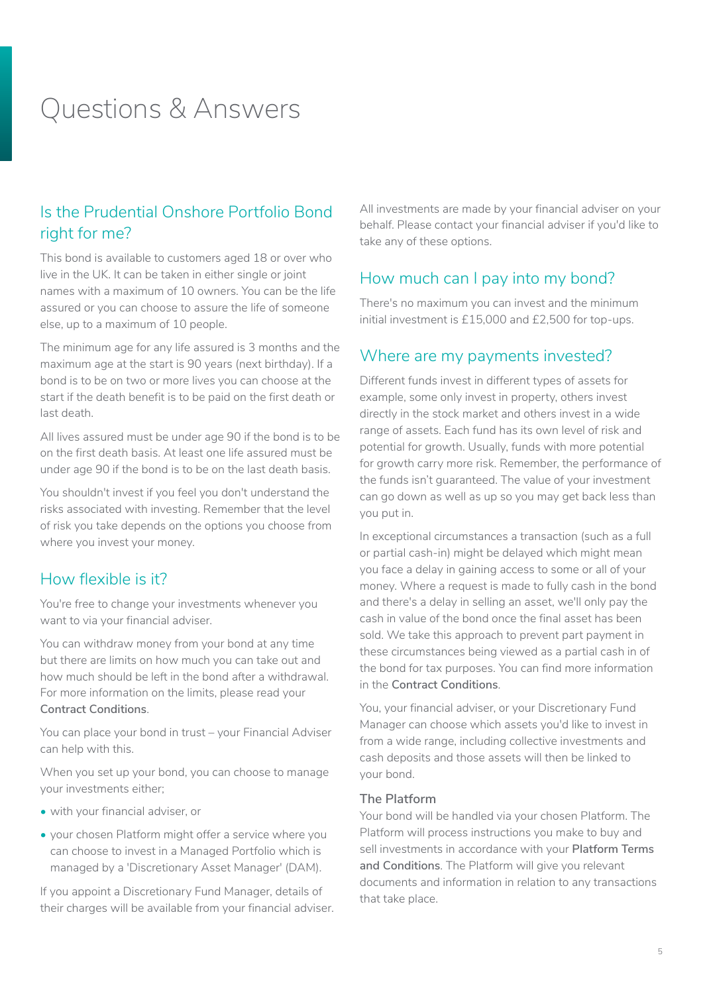# <span id="page-4-0"></span>Questions & Answers

# Is the Prudential Onshore Portfolio Bond right for me?

This bond is available to customers aged 18 or over who live in the UK. It can be taken in either single or joint names with a maximum of 10 owners. You can be the life assured or you can choose to assure the life of someone else, up to a maximum of 10 people.

The minimum age for any life assured is 3 months and the maximum age at the start is 90 years (next birthday). If a bond is to be on two or more lives you can choose at the start if the death benefit is to be paid on the first death or last death.

All lives assured must be under age 90 if the bond is to be on the first death basis. At least one life assured must be under age 90 if the bond is to be on the last death basis.

You shouldn't invest if you feel you don't understand the risks associated with investing. Remember that the level of risk you take depends on the options you choose from where you invest your money.

### How flexible is it?

You're free to change your investments whenever you want to via your financial adviser.

You can withdraw money from your bond at any time but there are limits on how much you can take out and how much should be left in the bond after a withdrawal. For more information on the limits, please read your **Contract Conditions**.

You can place your bond in trust – your Financial Adviser can help with this.

When you set up your bond, you can choose to manage your investments either;

- with your financial adviser, or
- your chosen Platform might offer a service where you can choose to invest in a Managed Portfolio which is managed by a 'Discretionary Asset Manager' (DAM).

If you appoint a Discretionary Fund Manager, details of their charges will be available from your financial adviser. All investments are made by your financial adviser on your behalf. Please contact your financial adviser if you'd like to take any of these options.

### How much can I pay into my bond?

There's no maximum you can invest and the minimum initial investment is £15,000 and £2,500 for top-ups.

### Where are my payments invested?

Different funds invest in different types of assets for example, some only invest in property, others invest directly in the stock market and others invest in a wide range of assets. Each fund has its own level of risk and potential for growth. Usually, funds with more potential for growth carry more risk. Remember, the performance of the funds isn't guaranteed. The value of your investment can go down as well as up so you may get back less than you put in.

In exceptional circumstances a transaction (such as a full or partial cash-in) might be delayed which might mean you face a delay in gaining access to some or all of your money. Where a request is made to fully cash in the bond and there's a delay in selling an asset, we'll only pay the cash in value of the bond once the final asset has been sold. We take this approach to prevent part payment in these circumstances being viewed as a partial cash in of the bond for tax purposes. You can find more information in the **Contract Conditions**.

You, your financial adviser, or your Discretionary Fund Manager can choose which assets you'd like to invest in from a wide range, including collective investments and cash deposits and those assets will then be linked to your bond.

#### **The Platform**

Your bond will be handled via your chosen Platform. The Platform will process instructions you make to buy and sell investments in accordance with your **Platform Terms and Conditions**. The Platform will give you relevant documents and information in relation to any transactions that take place.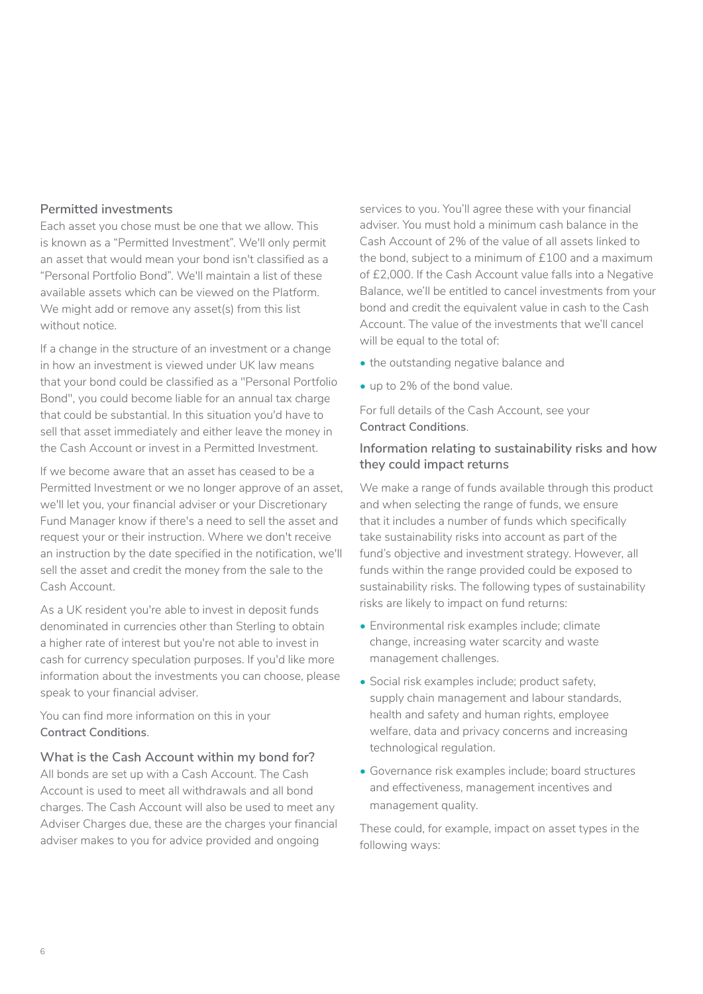#### **Permitted investments**

Each asset you chose must be one that we allow. This is known as a "Permitted Investment". We'll only permit an asset that would mean your bond isn't classified as a "Personal Portfolio Bond". We'll maintain a list of these available assets which can be viewed on the Platform. We might add or remove any asset(s) from this list without notice.

If a change in the structure of an investment or a change in how an investment is viewed under UK law means that your bond could be classified as a "Personal Portfolio Bond", you could become liable for an annual tax charge that could be substantial. In this situation you'd have to sell that asset immediately and either leave the money in the Cash Account or invest in a Permitted Investment.

If we become aware that an asset has ceased to be a Permitted Investment or we no longer approve of an asset, we'll let you, your financial adviser or your Discretionary Fund Manager know if there's a need to sell the asset and request your or their instruction. Where we don't receive an instruction by the date specified in the notification, we'll sell the asset and credit the money from the sale to the Cash Account.

As a UK resident you're able to invest in deposit funds denominated in currencies other than Sterling to obtain a higher rate of interest but you're not able to invest in cash for currency speculation purposes. If you'd like more information about the investments you can choose, please speak to your financial adviser.

#### You can find more information on this in your **Contract Conditions**.

#### **What is the Cash Account within my bond for?**

All bonds are set up with a Cash Account. The Cash Account is used to meet all withdrawals and all bond charges. The Cash Account will also be used to meet any Adviser Charges due, these are the charges your financial adviser makes to you for advice provided and ongoing

services to you. You'll agree these with your financial adviser. You must hold a minimum cash balance in the Cash Account of 2% of the value of all assets linked to the bond, subject to a minimum of £100 and a maximum of £2,000. If the Cash Account value falls into a Negative Balance, we'll be entitled to cancel investments from your bond and credit the equivalent value in cash to the Cash Account. The value of the investments that we'll cancel will be equal to the total of:

- the outstanding negative balance and
- up to 2% of the bond value.

For full details of the Cash Account, see your **Contract Conditions**.

#### **Information relating to sustainability risks and how they could impact returns**

We make a range of funds available through this product and when selecting the range of funds, we ensure that it includes a number of funds which specifically take sustainability risks into account as part of the fund's objective and investment strategy. However, all funds within the range provided could be exposed to sustainability risks. The following types of sustainability risks are likely to impact on fund returns:

- Environmental risk examples include; climate change, increasing water scarcity and waste management challenges.
- Social risk examples include; product safety, supply chain management and labour standards, health and safety and human rights, employee welfare, data and privacy concerns and increasing technological regulation.
- Governance risk examples include; board structures and effectiveness, management incentives and management quality.

These could, for example, impact on asset types in the following ways: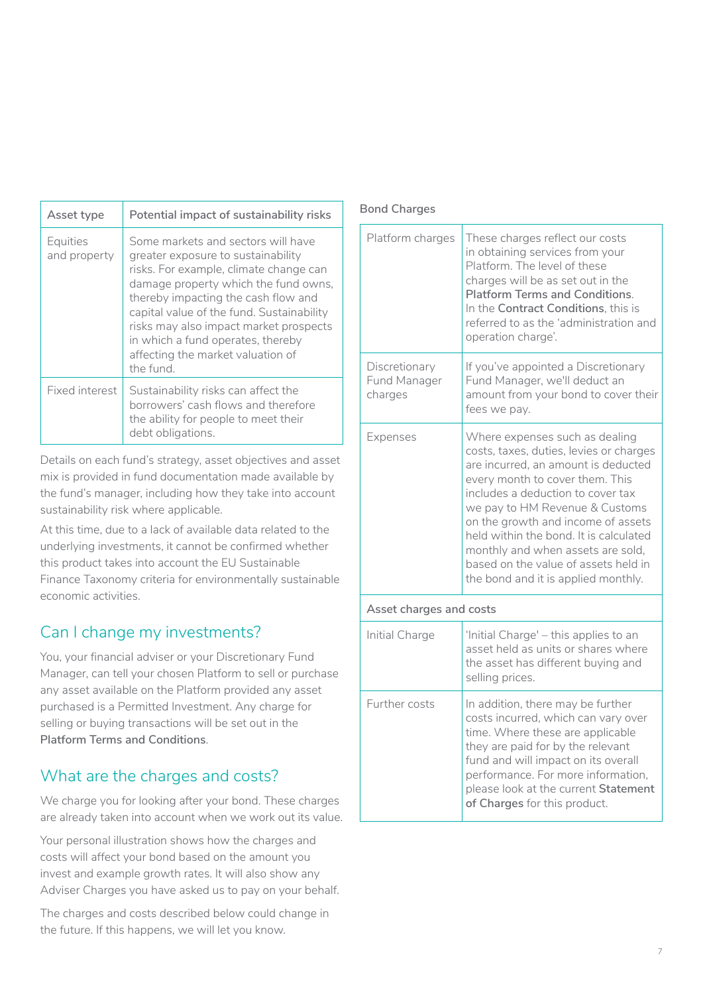<span id="page-6-0"></span>

| Asset type               | Potential impact of sustainability risks                                                                                                                                                                                                                                                                                                                                        |
|--------------------------|---------------------------------------------------------------------------------------------------------------------------------------------------------------------------------------------------------------------------------------------------------------------------------------------------------------------------------------------------------------------------------|
| Equities<br>and property | Some markets and sectors will have<br>greater exposure to sustainability<br>risks. For example, climate change can<br>damage property which the fund owns,<br>thereby impacting the cash flow and<br>capital value of the fund. Sustainability<br>risks may also impact market prospects<br>in which a fund operates, thereby<br>affecting the market valuation of<br>the fund. |
| Fixed interest           | Sustainability risks can affect the<br>borrowers' cash flows and therefore<br>the ability for people to meet their<br>debt obligations.                                                                                                                                                                                                                                         |

Details on each fund's strategy, asset objectives and asset mix is provided in fund documentation made available by the fund's manager, including how they take into account sustainability risk where applicable.

At this time, due to a lack of available data related to the underlying investments, it cannot be confirmed whether this product takes into account the EU Sustainable Finance Taxonomy criteria for environmentally sustainable economic activities.

# Can I change my investments?

You, your financial adviser or your Discretionary Fund Manager, can tell your chosen Platform to sell or purchase any asset available on the Platform provided any asset purchased is a Permitted Investment. Any charge for selling or buying transactions will be set out in the **Platform Terms and Conditions**.

# What are the charges and costs?

We charge you for looking after your bond. These charges are already taken into account when we work out its value.

Your personal illustration shows how the charges and costs will affect your bond based on the amount you invest and example growth rates. It will also show any Adviser Charges you have asked us to pay on your behalf.

The charges and costs described below could change in the future. If this happens, we will let you know.

#### **Bond Charges**

| Platform charges                         | These charges reflect our costs<br>in obtaining services from your<br>Platform. The level of these<br>charges will be as set out in the<br><b>Platform Terms and Conditions.</b><br>In the Contract Conditions, this is<br>referred to as the 'administration and<br>operation charge'.                                                                                                                                        |  |  |
|------------------------------------------|--------------------------------------------------------------------------------------------------------------------------------------------------------------------------------------------------------------------------------------------------------------------------------------------------------------------------------------------------------------------------------------------------------------------------------|--|--|
| Discretionary<br>Fund Manager<br>charges | If you've appointed a Discretionary<br>Fund Manager, we'll deduct an<br>amount from your bond to cover their<br>fees we pay.                                                                                                                                                                                                                                                                                                   |  |  |
| Expenses                                 | Where expenses such as dealing<br>costs, taxes, duties, levies or charges<br>are incurred, an amount is deducted<br>every month to cover them. This<br>includes a deduction to cover tax<br>we pay to HM Revenue & Customs<br>on the growth and income of assets<br>held within the bond. It is calculated<br>monthly and when assets are sold,<br>based on the value of assets held in<br>the bond and it is applied monthly. |  |  |
| Asset charges and costs                  |                                                                                                                                                                                                                                                                                                                                                                                                                                |  |  |
| Initial Charge                           | 'Initial Charge' - this applies to an<br>asset held as units or shares where<br>the asset has different buying and<br>selling prices.                                                                                                                                                                                                                                                                                          |  |  |
| Further costs                            | In addition, there may be further<br>costs incurred, which can vary over<br>time. Where these are applicable<br>they are paid for by the relevant<br>fund and will impact on its overall<br>performance. For more information,<br>please look at the current Statement<br>of Charges for this product.                                                                                                                         |  |  |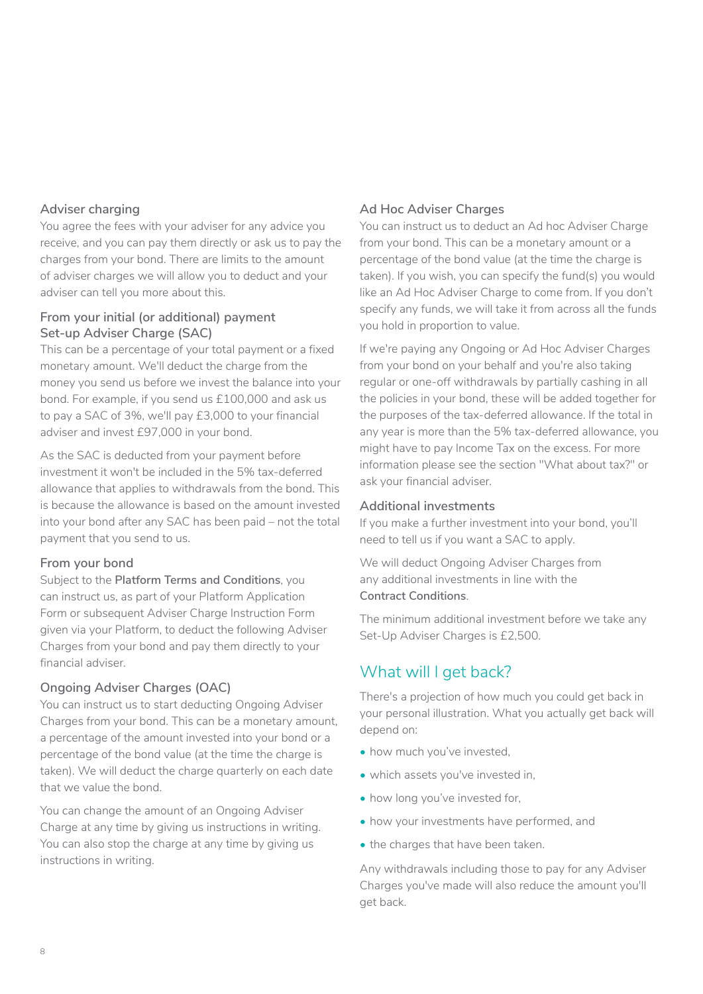#### <span id="page-7-0"></span>**Adviser charging**

You agree the fees with your adviser for any advice you receive, and you can pay them directly or ask us to pay the charges from your bond. There are limits to the amount of adviser charges we will allow you to deduct and your adviser can tell you more about this.

#### **From your initial (or additional) payment Set-up Adviser Charge (SAC)**

This can be a percentage of your total payment or a fixed monetary amount. We'll deduct the charge from the money you send us before we invest the balance into your bond. For example, if you send us £100,000 and ask us to pay a SAC of 3%, we'll pay £3,000 to your financial adviser and invest £97,000 in your bond.

As the SAC is deducted from your payment before investment it won't be included in the 5% tax-deferred allowance that applies to withdrawals from the bond. This is because the allowance is based on the amount invested into your bond after any SAC has been paid – not the total payment that you send to us.

#### **From your bond**

Subject to the **Platform Terms and Conditions**, you can instruct us, as part of your Platform Application Form or subsequent Adviser Charge Instruction Form given via your Platform, to deduct the following Adviser Charges from your bond and pay them directly to your financial adviser.

#### **Ongoing Adviser Charges (OAC)**

You can instruct us to start deducting Ongoing Adviser Charges from your bond. This can be a monetary amount, a percentage of the amount invested into your bond or a percentage of the bond value (at the time the charge is taken). We will deduct the charge quarterly on each date that we value the bond.

You can change the amount of an Ongoing Adviser Charge at any time by giving us instructions in writing. You can also stop the charge at any time by giving us instructions in writing.

#### **Ad Hoc Adviser Charges**

You can instruct us to deduct an Ad hoc Adviser Charge from your bond. This can be a monetary amount or a percentage of the bond value (at the time the charge is taken). If you wish, you can specify the fund(s) you would like an Ad Hoc Adviser Charge to come from. If you don't specify any funds, we will take it from across all the funds you hold in proportion to value.

If we're paying any Ongoing or Ad Hoc Adviser Charges from your bond on your behalf and you're also taking regular or one-off withdrawals by partially cashing in all the policies in your bond, these will be added together for the purposes of the tax-deferred allowance. If the total in any year is more than the 5% tax-deferred allowance, you might have to pay Income Tax on the excess. For more information please see the section "What about tax?" or ask your financial adviser.

#### **Additional investments**

If you make a further investment into your bond, you'll need to tell us if you want a SAC to apply.

We will deduct Ongoing Adviser Charges from any additional investments in line with the **Contract Conditions**.

The minimum additional investment before we take any Set-Up Adviser Charges is £2,500.

# What will I get back?

There's a projection of how much you could get back in your personal illustration. What you actually get back will depend on:

- how much you've invested,
- which assets you've invested in,
- how long you've invested for,
- how your investments have performed, and
- the charges that have been taken.

Any withdrawals including those to pay for any Adviser Charges you've made will also reduce the amount you'll get back.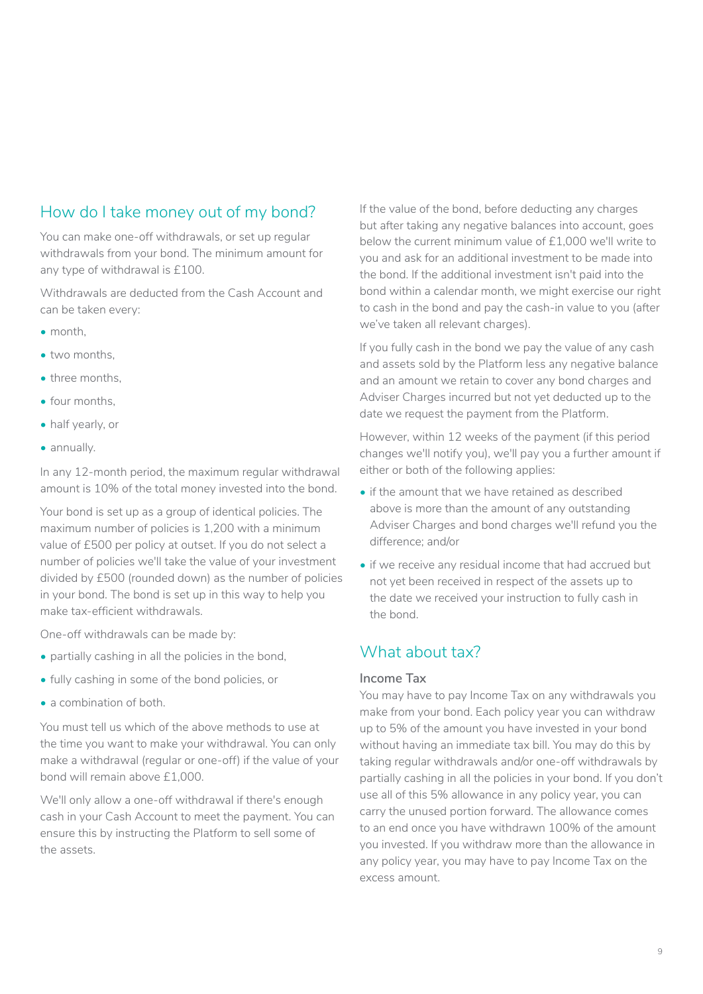# <span id="page-8-0"></span>How do I take money out of my bond?

You can make one-off withdrawals, or set up regular withdrawals from your bond. The minimum amount for any type of withdrawal is £100.

Withdrawals are deducted from the Cash Account and can be taken every:

- month,
- two months,
- three months,
- four months,
- half yearly, or
- annually.

In any 12-month period, the maximum regular withdrawal amount is 10% of the total money invested into the bond.

Your bond is set up as a group of identical policies. The maximum number of policies is 1,200 with a minimum value of £500 per policy at outset. If you do not select a number of policies we'll take the value of your investment divided by £500 (rounded down) as the number of policies in your bond. The bond is set up in this way to help you make tax-efficient withdrawals.

One-off withdrawals can be made by:

- partially cashing in all the policies in the bond,
- fully cashing in some of the bond policies, or
- a combination of both.

You must tell us which of the above methods to use at the time you want to make your withdrawal. You can only make a withdrawal (regular or one-off) if the value of your bond will remain above £1,000.

We'll only allow a one-off withdrawal if there's enough cash in your Cash Account to meet the payment. You can ensure this by instructing the Platform to sell some of the assets.

If the value of the bond, before deducting any charges but after taking any negative balances into account, goes below the current minimum value of £1,000 we'll write to you and ask for an additional investment to be made into the bond. If the additional investment isn't paid into the bond within a calendar month, we might exercise our right to cash in the bond and pay the cash-in value to you (after we've taken all relevant charges).

If you fully cash in the bond we pay the value of any cash and assets sold by the Platform less any negative balance and an amount we retain to cover any bond charges and Adviser Charges incurred but not yet deducted up to the date we request the payment from the Platform.

However, within 12 weeks of the payment (if this period changes we'll notify you), we'll pay you a further amount if either or both of the following applies:

- if the amount that we have retained as described above is more than the amount of any outstanding Adviser Charges and bond charges we'll refund you the difference; and/or
- if we receive any residual income that had accrued but not yet been received in respect of the assets up to the date we received your instruction to fully cash in the bond.

# What about tax?

#### **Income Tax**

You may have to pay Income Tax on any withdrawals you make from your bond. Each policy year you can withdraw up to 5% of the amount you have invested in your bond without having an immediate tax bill. You may do this by taking regular withdrawals and/or one-off withdrawals by partially cashing in all the policies in your bond. If you don't use all of this 5% allowance in any policy year, you can carry the unused portion forward. The allowance comes to an end once you have withdrawn 100% of the amount you invested. If you withdraw more than the allowance in any policy year, you may have to pay Income Tax on the excess amount.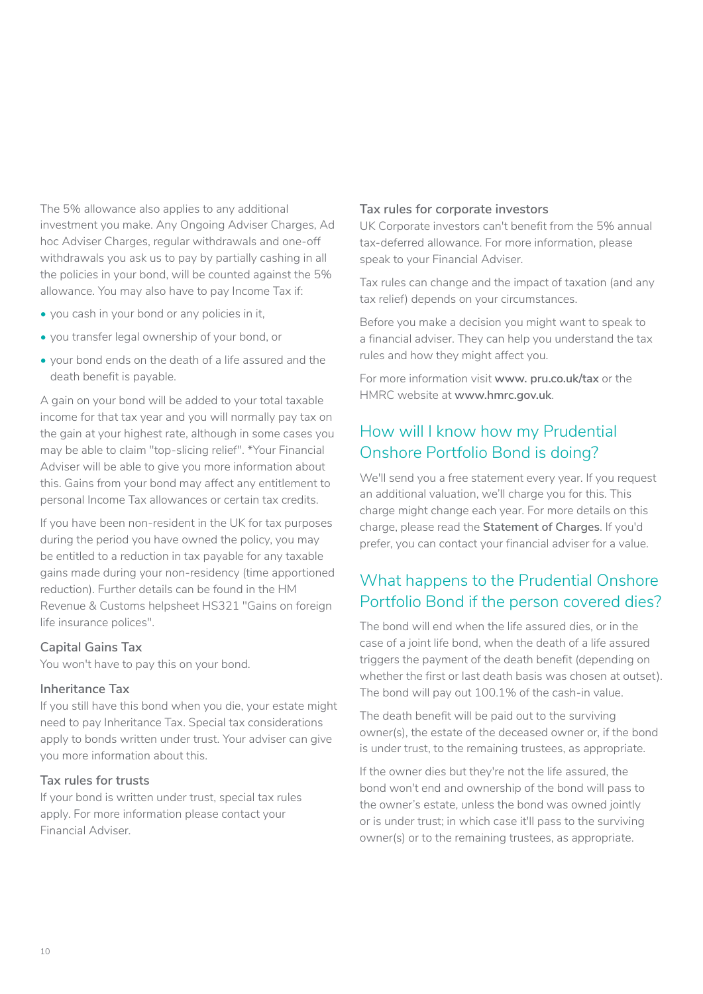<span id="page-9-0"></span>The 5% allowance also applies to any additional investment you make. Any Ongoing Adviser Charges, Ad hoc Adviser Charges, regular withdrawals and one-off withdrawals you ask us to pay by partially cashing in all the policies in your bond, will be counted against the 5% allowance. You may also have to pay Income Tax if:

- you cash in your bond or any policies in it,
- you transfer legal ownership of your bond, or
- your bond ends on the death of a life assured and the death benefit is payable.

A gain on your bond will be added to your total taxable income for that tax year and you will normally pay tax on the gain at your highest rate, although in some cases you may be able to claim "top-slicing relief". \*Your Financial Adviser will be able to give you more information about this. Gains from your bond may affect any entitlement to personal Income Tax allowances or certain tax credits.

If you have been non-resident in the UK for tax purposes during the period you have owned the policy, you may be entitled to a reduction in tax payable for any taxable gains made during your non-residency (time apportioned reduction). Further details can be found in the HM Revenue & Customs helpsheet HS321 "Gains on foreign life insurance polices".

#### **Capital Gains Tax**

You won't have to pay this on your bond.

#### **Inheritance Tax**

If you still have this bond when you die, your estate might need to pay Inheritance Tax. Special tax considerations apply to bonds written under trust. Your adviser can give you more information about this.

#### **Tax rules for trusts**

If your bond is written under trust, special tax rules apply. For more information please contact your Financial Adviser.

#### **Tax rules for corporate investors**

UK Corporate investors can't benefit from the 5% annual tax-deferred allowance. For more information, please speak to your Financial Adviser.

Tax rules can change and the impact of taxation (and any tax relief) depends on your circumstances.

Before you make a decision you might want to speak to a financial adviser. They can help you understand the tax rules and how they might affect you.

For more information visit **www. [pru.co.uk/tax](https://www.pru.co.uk/tax)** or the HMRC website at **www.[hmrc.gov.uk](https://www.hmrc.gov.uk)**.

# How will I know how my Prudential Onshore Portfolio Bond is doing?

We'll send you a free statement every year. If you request an additional valuation, we'll charge you for this. This charge might change each year. For more details on this charge, please read the **Statement of Charges**. If you'd prefer, you can contact your financial adviser for a value.

# What happens to the Prudential Onshore Portfolio Bond if the person covered dies?

The bond will end when the life assured dies, or in the case of a joint life bond, when the death of a life assured triggers the payment of the death benefit (depending on whether the first or last death basis was chosen at outset). The bond will pay out 100.1% of the cash-in value.

The death benefit will be paid out to the surviving owner(s), the estate of the deceased owner or, if the bond is under trust, to the remaining trustees, as appropriate.

If the owner dies but they're not the life assured, the bond won't end and ownership of the bond will pass to the owner's estate, unless the bond was owned jointly or is under trust; in which case it'll pass to the surviving owner(s) or to the remaining trustees, as appropriate.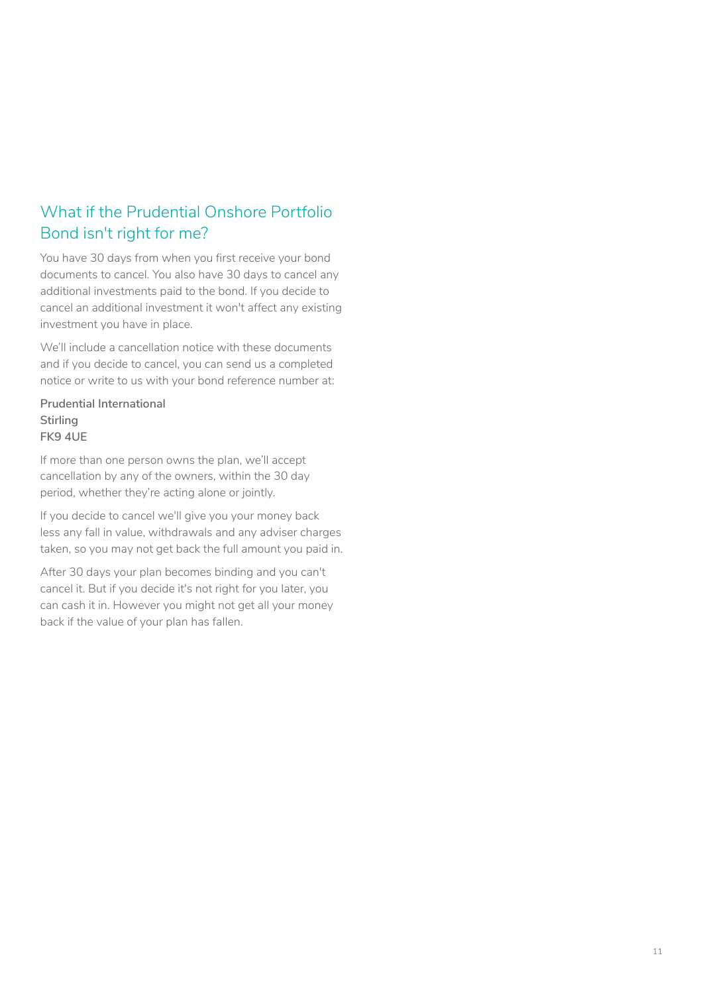# <span id="page-10-0"></span>What if the Prudential Onshore Portfolio Bond isn't right for me?

You have 30 days from when you first receive your bond documents to cancel. You also have 30 days to cancel any additional investments paid to the bond. If you decide to cancel an additional investment it won't affect any existing investment you have in place.

We'll include a cancellation notice with these documents and if you decide to cancel, you can send us a completed notice or write to us with your bond reference number at:

**Prudential International Stirling FK9 4UE**

If more than one person owns the plan, we'll accept cancellation by any of the owners, within the 30 day period, whether they're acting alone or jointly.

If you decide to cancel we'll give you your money back less any fall in value, withdrawals and any adviser charges taken, so you may not get back the full amount you paid in.

After 30 days your plan becomes binding and you can't cancel it. But if you decide it's not right for you later, you can cash it in. However you might not get all your money back if the value of your plan has fallen.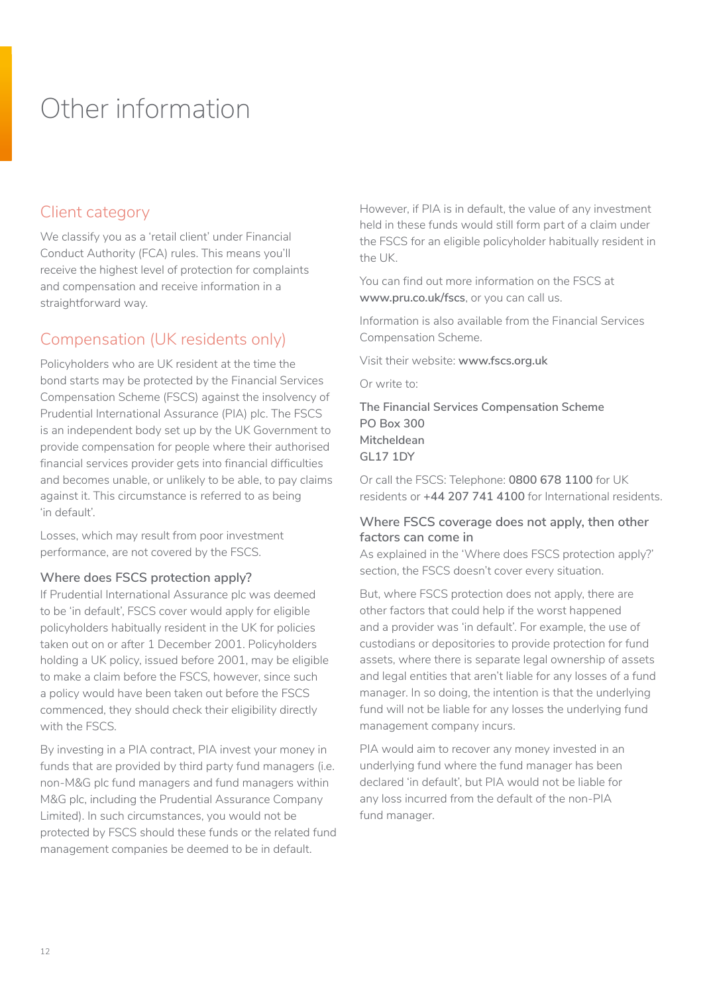# <span id="page-11-0"></span>Other information

# Client category

We classify you as a 'retail client' under Financial Conduct Authority (FCA) rules. This means you'll receive the highest level of protection for complaints and compensation and receive information in a straightforward way.

# Compensation (UK residents only)

Policyholders who are UK resident at the time the bond starts may be protected by the Financial Services Compensation Scheme (FSCS) against the insolvency of Prudential International Assurance (PIA) plc. The FSCS is an independent body set up by the UK Government to provide compensation for people where their authorised financial services provider gets into financial difficulties and becomes unable, or unlikely to be able, to pay claims against it. This circumstance is referred to as being 'in default'.

Losses, which may result from poor investment performance, are not covered by the FSCS.

#### **Where does FSCS protection apply?**

If Prudential International Assurance plc was deemed to be 'in default', FSCS cover would apply for eligible policyholders habitually resident in the UK for policies taken out on or after 1 December 2001. Policyholders holding a UK policy, issued before 2001, may be eligible to make a claim before the FSCS, however, since such a policy would have been taken out before the FSCS commenced, they should check their eligibility directly with the FSCS.

By investing in a PIA contract, PIA invest your money in funds that are provided by third party fund managers (i.e. non-M&G plc fund managers and fund managers within M&G plc, including the Prudential Assurance Company Limited). In such circumstances, you would not be protected by FSCS should these funds or the related fund management companies be deemed to be in default.

However, if PIA is in default, the value of any investment held in these funds would still form part of a claim under the FSCS for an eligible policyholder habitually resident in the UK.

You can find out more information on the FSCS at **www[.pru.co.uk/fscs](https://www.pru.co.uk/fscs/)**, or you can call us.

Information is also available from the Financial Services Compensation Scheme.

Visit their website: **www.[fscs.org.uk](https://www.fscs.org.uk/)**

Or write to:

**The Financial Services Compensation Scheme PO Box 300 Mitcheldean GL17 1DY** 

Or call the FSCS: Telephone: **0800 678 1100** for UK residents or **+44 207 741 4100** for International residents.

#### **Where FSCS coverage does not apply, then other factors can come in**

As explained in the 'Where does FSCS protection apply?' section, the FSCS doesn't cover every situation.

But, where FSCS protection does not apply, there are other factors that could help if the worst happened and a provider was 'in default'. For example, the use of custodians or depositories to provide protection for fund assets, where there is separate legal ownership of assets and legal entities that aren't liable for any losses of a fund manager. In so doing, the intention is that the underlying fund will not be liable for any losses the underlying fund management company incurs.

PIA would aim to recover any money invested in an underlying fund where the fund manager has been declared 'in default', but PIA would not be liable for any loss incurred from the default of the non-PIA fund manager.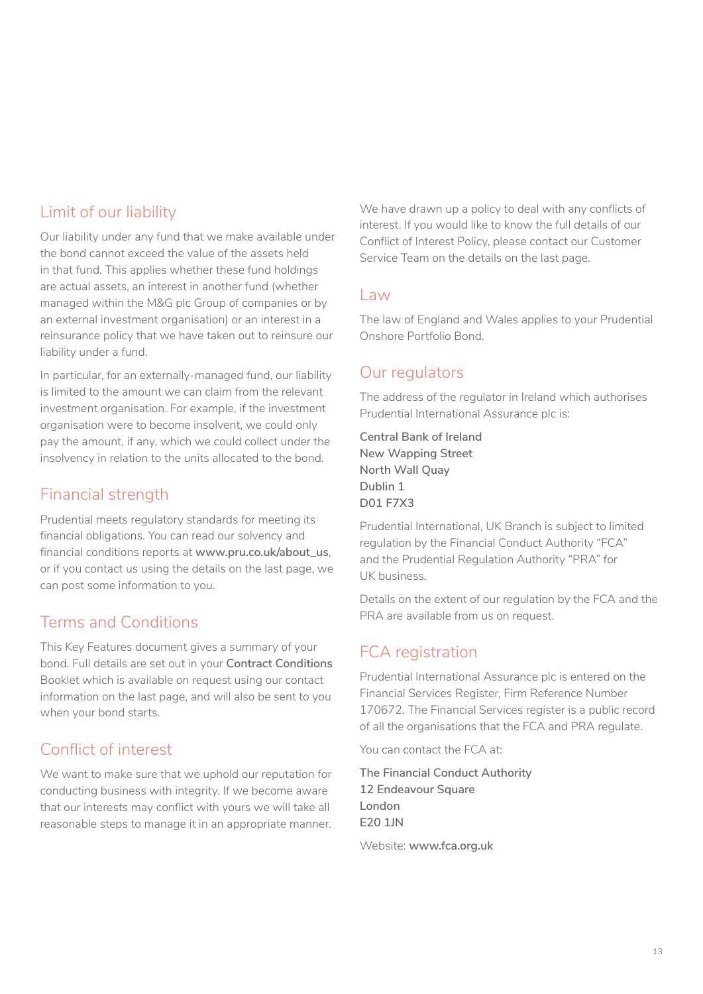# Limit of our liability

Our liability under any fund that we make available under the bond cannot exceed the value of the assets held in that fund. This applies whether these fund holdings are actual assets, an interest in another fund (whether managed within the M&G plc Group of companies or by an external investment organisation) or an interest in a reinsurance policy that we have taken out to reinsure our liability under a fund.

In particular, for an externally-managed fund, our liability is limited to the amount we can claim from the relevant investment organisation. For example, if the investment organisation were to become insolvent, we could only pay the amount, if any, which we could collect under the insolvency in relation to the units allocated to the bond.

# Financial strength

Prudential meets regulatory standards for meeting its financial obligations. You can read our solvency and financial conditions reports at **www.[pru.co.uk/about\\_us](http://www.pru.co.uk/about_us)**, or if you contact us using the details on the last page, we can post some information to you.

# Terms and Conditions

This Key Features document gives a summary of your bond. Full details are set out in your **Contract Conditions** Booklet which is available on request using our contact information on the last page, and will also be sent to you when your bond starts.

# Conflict of interest

We want to make sure that we uphold our reputation for conducting business with integrity. If we become aware that our interests may conflict with yours we will take all reasonable steps to manage it in an appropriate manner. We have drawn up a policy to deal with any conflicts of interest. If you would like to know the full details of our Conflict of Interest Policy, please contact our Customer Service Team on the details on the last page.

### Law

The law of England and Wales applies to your Prudential Onshore Portfolio Bond.

# Our regulators

The address of the regulator in Ireland which authorises Prudential International Assurance plc is:

**Central Bank of Ireland New Wapping Street North Wall Quay Dublin 1 D01 F7X3**

Prudential International, UK Branch is subject to limited regulation by the Financial Conduct Authority "FCA" and the Prudential Regulation Authority "PRA" for UK business.

Details on the extent of our regulation by the FCA and the PRA are available from us on request.

# FCA registration

Prudential International Assurance plc is entered on the Financial Services Register, Firm Reference Number 170672. The Financial Services register is a public record of all the organisations that the FCA and PRA regulate.

You can contact the FCA at:

**The Financial Conduct Authority 12 Endeavour Square London E20 1JN**

Website: **www.[fca.org.uk](http://www.fca.org.uk)**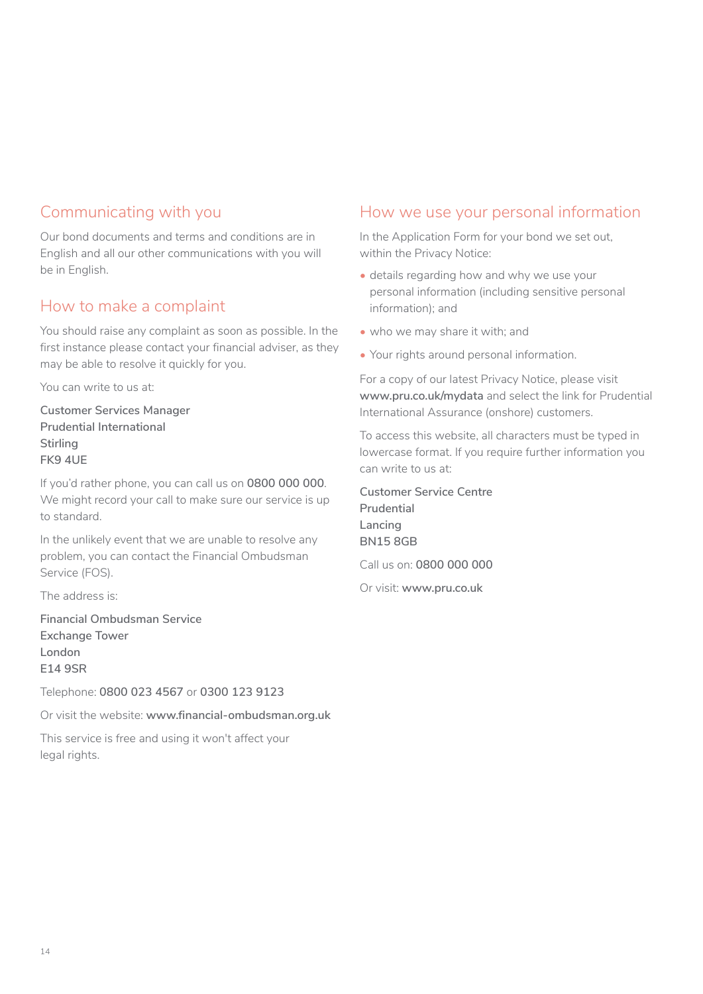# Communicating with you

Our bond documents and terms and conditions are in English and all our other communications with you will be in English.

# How to make a complaint

You should raise any complaint as soon as possible. In the first instance please contact your financial adviser, as they may be able to resolve it quickly for you.

You can write to us at:

**Customer Services Manager Prudential International Stirling FK9 4UE**

If you'd rather phone, you can call us on **0800 000 000**. We might record your call to make sure our service is up to standard.

In the unlikely event that we are unable to resolve any problem, you can contact the Financial Ombudsman Service (FOS).

The address is:

**Financial Ombudsman Service Exchange Tower London E14 9SR**

Telephone: **0800 023 4567** or **0300 123 9123**

Or visit the website: **www[.financial-ombudsman.org.uk](http://www.financial-ombudsman.org.uk)**

This service is free and using it won't affect your legal rights.

## How we use your personal information

In the Application Form for your bond we set out, within the Privacy Notice:

- details regarding how and why we use your personal information (including sensitive personal information); and
- who we may share it with; and
- Your rights around personal information.

For a copy of our latest Privacy Notice, please visit **www[.pru.co.uk/mydata](https://www.pru.co.uk/mydata)** and select the link for Prudential International Assurance (onshore) customers.

To access this website, all characters must be typed in lowercase format. If you require further information you can write to us at:

**Customer Service Centre Prudential Lancing BN15 8GB**

Call us on: **0800 000 000**

Or visit: **www.[pru.co.uk](https://www.pru.co.uk)**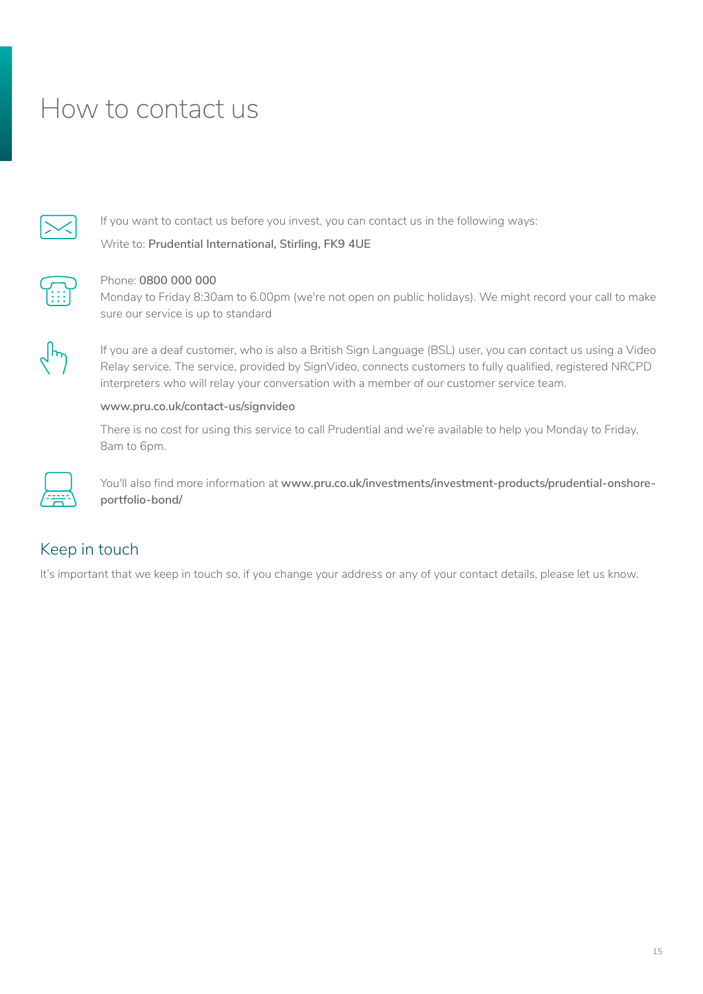# <span id="page-14-0"></span>How to contact us



If you want to contact us before you invest, you can contact us in the following ways:

Write to: **Prudential International, Stirling, FK9 4UE** 



#### Phone: **0800 000 000**

Monday to Friday 8:30am to 6.00pm (we're not open on public holidays). We might record your call to make sure our service is up to standard



 If you are a deaf customer, who is also a British Sign Language (BSL) user, you can contact us using a Video Relay service. The service, provided by SignVideo, connects customers to fully qualified, registered NRCPD interpreters who will relay your conversation with a member of our customer service team.

#### **www[.pru.co.uk/contact-us/signvideo](https://www.pru.co.uk/contact-us/signvideo)**

There is no cost for using this service to call Prudential and we're available to help you Monday to Friday, 8am to 6pm.



 You'll also find more information at **www.[pru.co.uk/investments/investment-products/prudential-onshore](https://www.pru.co.uk/investments/investment-products/prudential-onshore-portfolio-bond/)[portfolio-bond/](https://www.pru.co.uk/investments/investment-products/prudential-onshore-portfolio-bond/)**

# Keep in touch

It's important that we keep in touch so, if you change your address or any of your contact details, please let us know.